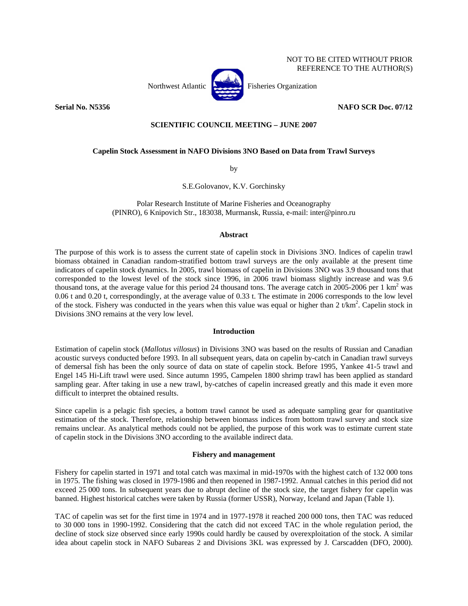

REFERENCE TO THE AUTHOR(S)

NOT TO BE CITED WITHOUT PRIOR

## **Serial No. N5356 NAFO SCR Doc. 07/12**

# **SCIENTIFIC COUNCIL MEETING – JUNE 2007**

## **Capelin Stock Assessment in NAFO Divisions 3NO Based on Data from Trawl Surveys**

by

S.E.Golovanov, K.V. Gorchinsky

Polar Research Institute of Marine Fisheries and Oceanography (PINRO), 6 Knipovich Str., 183038, Murmansk, Russia, e-mail: inter@pinro.ru

## **Abstract**

The purpose of this work is to assess the current state of capelin stock in Divisions 3NO. Indices of capelin trawl biomass obtained in Canadian random-stratified bottom trawl surveys are the only available at the present time indicators of capelin stock dynamics. In 2005, trawl biomass of capelin in Divisions 3NO was 3.9 thousand tons that corresponded to the lowest level of the stock since 1996, in 2006 trawl biomass slightly increase and was 9.6 thousand tons, at the average value for this period 24 thousand tons. The average catch in 2005-2006 per 1  $\text{km}^2$  was 0.06 t and 0.20 t, correspondingly, at the average value of 0.33 t. The estimate in 2006 corresponds to the low level of the stock. Fishery was conducted in the years when this value was equal or higher than  $2 t/km^2$ . Capelin stock in Divisions 3NO remains at the very low level.

### **Introduction**

Estimation of capelin stock (*Mallotus villosus*) in Divisions 3NO was based on the results of Russian and Canadian acoustic surveys conducted before 1993. In all subsequent years, data on capelin by-catch in Canadian trawl surveys of demersal fish has been the only source of data on state of capelin stock. Before 1995, Yankee 41-5 trawl and Engel 145 Hi-Lift trawl were used. Since autumn 1995, Campelen 1800 shrimp trawl has been applied as standard sampling gear. After taking in use a new trawl, by-catches of capelin increased greatly and this made it even more difficult to interpret the obtained results.

Since capelin is a pelagic fish species, a bottom trawl cannot be used as adequate sampling gear for quantitative estimation of the stock. Therefore, relationship between biomass indices from bottom trawl survey and stock size remains unclear. As analytical methods could not be applied, the purpose of this work was to estimate current state of capelin stock in the Divisions 3NO according to the available indirect data.

# **Fishery and management**

Fishery for capelin started in 1971 and total catch was maximal in mid-1970s with the highest catch of 132 000 tons in 1975. The fishing was closed in 1979-1986 and then reopened in 1987-1992. Annual catches in this period did not exceed 25 000 tons. In subsequent years due to abrupt decline of the stock size, the target fishery for capelin was banned. Highest historical catches were taken by Russia (former USSR), Norway, Iceland and Japan (Table 1).

TAC of capelin was set for the first time in 1974 and in 1977-1978 it reached 200 000 tons, then TAC was reduced to 30 000 tons in 1990-1992. Considering that the catch did not exceed TAC in the whole regulation period, the decline of stock size observed since early 1990s could hardly be caused by overexploitation of the stock. A similar idea about capelin stock in NAFO Subareas 2 and Divisions 3KL was expressed by J. Carscadden (DFO, 2000).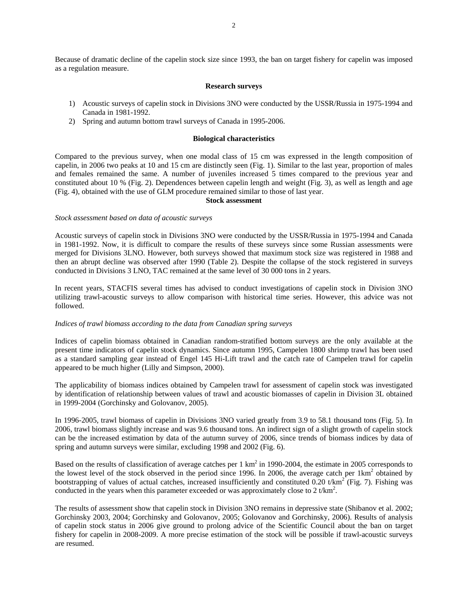Because of dramatic decline of the capelin stock size since 1993, the ban on target fishery for capelin was imposed as a regulation measure.

#### **Research surveys**

- 1) Acoustic surveys of capelin stock in Divisions 3NO were conducted by the USSR/Russia in 1975-1994 and Canada in 1981-1992.
- 2) Spring and autumn bottom trawl surveys of Canada in 1995-2006.

## **Biological characteristics**

Compared to the previous survey, when one modal class of 15 cm was expressed in the length composition of capelin, in 2006 two peaks at 10 and 15 cm are distinctly seen (Fig. 1). Similar to the last year, proportion of males and females remained the same. A number of juveniles increased 5 times compared to the previous year and constituted about 10 % (Fig. 2). Dependences between capelin length and weight (Fig. 3), as well as length and age (Fig. 4), obtained with the use of GLM procedure remained similar to those of last year.

### **Stock assessment**

### *Stock assessment based on data of acoustic surveys*

Acoustic surveys of capelin stock in Divisions 3NO were conducted by the USSR/Russia in 1975-1994 and Canada in 1981-1992. Now, it is difficult to compare the results of these surveys since some Russian assessments were merged for Divisions 3LNO. However, both surveys showed that maximum stock size was registered in 1988 and then an abrupt decline was observed after 1990 (Table 2). Despite the collapse of the stock registered in surveys conducted in Divisions 3 LNO, TAC remained at the same level of 30 000 tons in 2 years.

In recent years, STACFIS several times has advised to conduct investigations of capelin stock in Division 3NO utilizing trawl-acoustic surveys to allow comparison with historical time series. However, this advice was not followed.

### *Indices of trawl biomass according to the data from Canadian spring surveys*

Indices of capelin biomass obtained in Canadian random-stratified bottom surveys are the only available at the present time indicators of capelin stock dynamics. Since autumn 1995, Campelen 1800 shrimp trawl has been used as a standard sampling gear instead of Engel 145 Hi-Lift trawl and the catch rate of Campelen trawl for capelin appeared to be much higher (Lilly and Simpson, 2000).

The applicability of biomass indices obtained by Campelen trawl for assessment of capelin stock was investigated by identification of relationship between values of trawl and acoustic biomasses of capelin in Division 3L obtained in 1999-2004 (Gorchinsky and Golovanov, 2005).

In 1996-2005, trawl biomass of capelin in Divisions 3NO varied greatly from 3.9 to 58.1 thousand tons (Fig. 5). In 2006, trawl biomass slightly increase and was 9.6 thousand tons. An indirect sign of a slight growth of capelin stock can be the increased estimation by data of the autumn survey of 2006, since trends of biomass indices by data of spring and autumn surveys were similar, excluding 1998 and 2002 (Fig. 6).

Based on the results of classification of average catches per  $1 \text{ km}^2$  in 1990-2004, the estimate in 2005 corresponds to the lowest level of the stock observed in the period since 1996. In 2006, the average catch per  $1 \text{km}^2$  obtained by bootstrapping of values of actual catches, increased insufficiently and constituted  $0.20$  t/km<sup>2</sup> (Fig. 7). Fishing was conducted in the years when this parameter exceeded or was approximately close to 2 t/km<sup>2</sup>.

The results of assessment show that capelin stock in Division 3NO remains in depressive state (Shibanov et al. 2002; Gorchinsky 2003, 2004; Gorchinsky and Golovanov, 2005; Golovanov and Gorchinsky, 2006). Results of analysis of capelin stock status in 2006 give ground to prolong advice of the Scientific Council about the ban on target fishery for capelin in 2008-2009. A more precise estimation of the stock will be possible if trawl-acoustic surveys are resumed.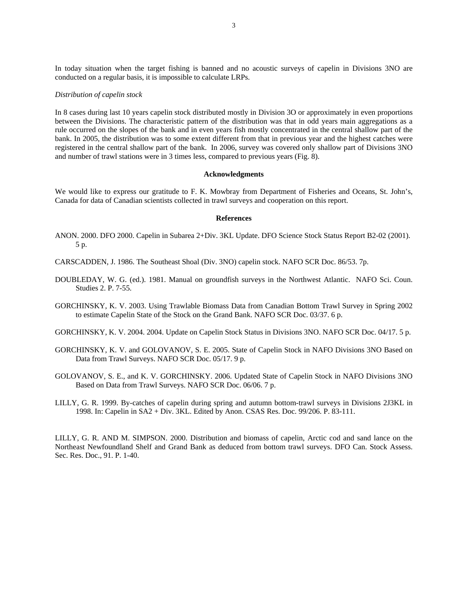In today situation when the target fishing is banned and no acoustic surveys of capelin in Divisions 3NO are conducted on a regular basis, it is impossible to calculate LRPs.

#### *Distribution of capelin stock*

In 8 cases during last 10 years capelin stock distributed mostly in Division 3O or approximately in even proportions between the Divisions. The characteristic pattern of the distribution was that in odd years main aggregations as a rule occurred on the slopes of the bank and in even years fish mostly concentrated in the central shallow part of the bank. In 2005, the distribution was to some extent different from that in previous year and the highest catches were registered in the central shallow part of the bank. In 2006, survey was covered only shallow part of Divisions 3NO and number of trawl stations were in 3 times less, compared to previous years (Fig. 8).

#### **Acknowledgments**

We would like to express our gratitude to F. K. Mowbray from Department of Fisheries and Oceans, St. John's, Canada for data of Canadian scientists collected in trawl surveys and cooperation on this report.

#### **References**

- ANON. 2000. DFO 2000. Capelin in Subarea 2+Div. 3KL Update. DFO Science Stock Status Report B2-02 (2001). 5 p.
- CARSCADDEN, J. 1986. The Southeast Shoal (Div. 3NO) capelin stock. NAFO SCR Doc. 86/53. 7p.
- DOUBLEDAY, W. G. (ed.). 1981. Manual on groundfish surveys in the Northwest Atlantic. NAFO Sci. Coun. Studies 2. P. 7-55.
- GORCHINSKY, K. V. 2003. Using Trawlable Biomass Data from Canadian Bottom Trawl Survey in Spring 2002 to estimate Capelin State of the Stock on the Grand Bank. NAFO SCR Doc. 03/37. 6 p.
- GORCHINSKY, K. V. 2004. 2004. Update on Capelin Stock Status in Divisions 3NO. NAFO SCR Doc. 04/17. 5 p.
- GORCHINSKY, K. V. and GOLOVANOV, S. E. 2005. State of Capelin Stock in NAFO Divisions 3NO Based on Data from Trawl Surveys. NAFO SCR Doc. 05/17. 9 p.
- GOLOVANOV, S. E., and K. V. GORCHINSKY. 2006. Updated State of Capelin Stock in NAFO Divisions 3NO Based on Data from Trawl Surveys. NAFO SCR Doc. 06/06. 7 p.
- LILLY, G. R. 1999. By-catches of capelin during spring and autumn bottom-trawl surveys in Divisions 2J3KL in 1998. In: Capelin in SA2 + Div. 3KL. Edited by Anon. CSAS Res. Doc. 99/206. P. 83-111.

LILLY, G. R. AND M. SIMPSON. 2000. Distribution and biomass of capelin, Arctic cod and sand lance on the Northeast Newfoundland Shelf and Grand Bank as deduced from bottom trawl surveys. DFO Can. Stock Assess. Sec. Res. Doc., 91. P. 1-40.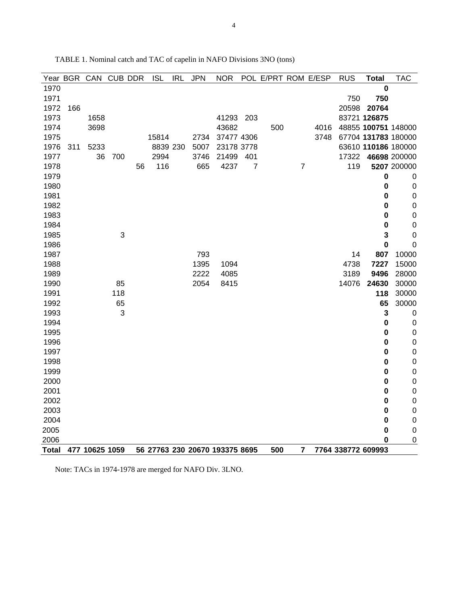|              |     | Year BGR CAN CUB DDR |     |    | <b>ISL</b> | <b>IRL</b> | <b>JPN</b> | <b>NOR</b>                     | <b>POL</b>     | E/PRT ROM E/ESP |                |      | <b>RUS</b> | <b>Total</b>       | <b>TAC</b>          |
|--------------|-----|----------------------|-----|----|------------|------------|------------|--------------------------------|----------------|-----------------|----------------|------|------------|--------------------|---------------------|
| 1970         |     |                      |     |    |            |            |            |                                |                |                 |                |      |            | 0                  |                     |
| 1971         |     |                      |     |    |            |            |            |                                |                |                 |                |      | 750        | 750                |                     |
| 1972         | 166 |                      |     |    |            |            |            |                                |                |                 |                |      | 20598      | 20764              |                     |
| 1973         |     | 1658                 |     |    |            |            |            | 41293                          | 203            |                 |                |      |            | 83721 126875       |                     |
| 1974         |     | 3698                 |     |    |            |            |            | 43682                          |                | 500             |                | 4016 |            |                    | 48855 100751 148000 |
| 1975         |     |                      |     |    | 15814      |            | 2734       | 37477 4306                     |                |                 |                | 3748 |            |                    | 67704 131783 180000 |
| 1976         | 311 | 5233                 |     |    | 8839 230   |            | 5007       | 23178 3778                     |                |                 |                |      |            |                    | 63610 110186 180000 |
| 1977         |     | 36                   | 700 |    | 2994       |            | 3746       | 21499                          | 401            |                 |                |      | 17322      |                    | 46698 200000        |
| 1978         |     |                      |     | 56 | 116        |            | 665        | 4237                           | $\overline{7}$ |                 | $\overline{7}$ |      | 119        |                    | 5207 200000         |
| 1979         |     |                      |     |    |            |            |            |                                |                |                 |                |      |            | $\bf{0}$           | $\pmb{0}$           |
| 1980         |     |                      |     |    |            |            |            |                                |                |                 |                |      |            | 0                  | $\mathbf 0$         |
| 1981         |     |                      |     |    |            |            |            |                                |                |                 |                |      |            | 0                  | $\mathbf 0$         |
| 1982         |     |                      |     |    |            |            |            |                                |                |                 |                |      |            | 0                  | $\mathbf 0$         |
| 1983         |     |                      |     |    |            |            |            |                                |                |                 |                |      |            | 0                  | $\mathbf 0$         |
| 1984         |     |                      |     |    |            |            |            |                                |                |                 |                |      |            | 0                  | $\mathbf 0$         |
| 1985         |     |                      | 3   |    |            |            |            |                                |                |                 |                |      |            | 3                  | $\mathbf 0$         |
| 1986         |     |                      |     |    |            |            |            |                                |                |                 |                |      |            | $\bf{0}$           | $\mathbf 0$         |
| 1987         |     |                      |     |    |            |            | 793        |                                |                |                 |                |      | 14         | 807                | 10000               |
| 1988         |     |                      |     |    |            |            | 1395       | 1094                           |                |                 |                |      | 4738       | 7227               | 15000               |
| 1989         |     |                      |     |    |            |            | 2222       | 4085                           |                |                 |                |      | 3189       | 9496               | 28000               |
| 1990         |     |                      | 85  |    |            |            | 2054       | 8415                           |                |                 |                |      | 14076      | 24630              | 30000               |
| 1991         |     |                      | 118 |    |            |            |            |                                |                |                 |                |      |            | 118                | 30000               |
| 1992         |     |                      | 65  |    |            |            |            |                                |                |                 |                |      |            | 65                 | 30000               |
| 1993         |     |                      | 3   |    |            |            |            |                                |                |                 |                |      |            | 3                  | $\mathbf 0$         |
| 1994         |     |                      |     |    |            |            |            |                                |                |                 |                |      |            | $\bf{0}$           | $\mathbf 0$         |
| 1995         |     |                      |     |    |            |            |            |                                |                |                 |                |      |            | $\bf{0}$           | $\mathbf 0$         |
| 1996         |     |                      |     |    |            |            |            |                                |                |                 |                |      |            | 0                  | $\boldsymbol{0}$    |
| 1997         |     |                      |     |    |            |            |            |                                |                |                 |                |      |            | 0                  | $\mathbf 0$         |
| 1998         |     |                      |     |    |            |            |            |                                |                |                 |                |      |            | 0                  | $\mathbf 0$         |
| 1999         |     |                      |     |    |            |            |            |                                |                |                 |                |      |            | 0                  | $\pmb{0}$           |
| 2000         |     |                      |     |    |            |            |            |                                |                |                 |                |      |            | $\bf{0}$           | $\mathbf 0$         |
| 2001         |     |                      |     |    |            |            |            |                                |                |                 |                |      |            | 0                  | $\boldsymbol{0}$    |
| 2002         |     |                      |     |    |            |            |            |                                |                |                 |                |      |            | 0                  | $\mathbf 0$         |
| 2003         |     |                      |     |    |            |            |            |                                |                |                 |                |      |            | 0                  | $\mathbf 0$         |
| 2004         |     |                      |     |    |            |            |            |                                |                |                 |                |      |            | 0                  | $\mathbf 0$         |
| 2005         |     |                      |     |    |            |            |            |                                |                |                 |                |      |            | 0                  | $\mathbf 0$         |
| 2006         |     |                      |     |    |            |            |            |                                |                |                 |                |      |            | 0                  | $\mathbf 0$         |
| <b>Total</b> |     | 477 10625 1059       |     |    |            |            |            | 56 27763 230 20670 193375 8695 |                | 500             | 7              |      |            | 7764 338772 609993 |                     |

TABLE 1. Nominal catch and TAC of capelin in NAFO Divisions 3NO (tons)

Note: TACs in 1974-1978 are merged for NAFO Div. 3LNO.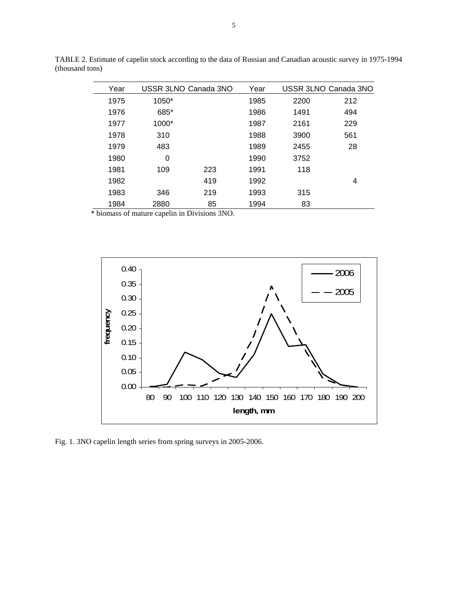| Year | USSR 3LNO Canada 3NO |     | Year |      | USSR 3LNO Canada 3NO |
|------|----------------------|-----|------|------|----------------------|
| 1975 | $1050*$              |     | 1985 | 2200 | 212                  |
| 1976 | 685*                 |     | 1986 | 1491 | 494                  |
| 1977 | $1000*$              |     | 1987 | 2161 | 229                  |
| 1978 | 310                  |     | 1988 | 3900 | 561                  |
| 1979 | 483                  |     | 1989 | 2455 | 28                   |
| 1980 | 0                    |     | 1990 | 3752 |                      |
| 1981 | 109                  | 223 | 1991 | 118  |                      |
| 1982 |                      | 419 | 1992 |      | 4                    |
| 1983 | 346                  | 219 | 1993 | 315  |                      |
| 1984 | 2880                 | 85  | 1994 | 83   |                      |

TABLE 2. Estimate of capelin stock according to the data of Russian and Canadian acoustic survey in 1975-1994 (thousand tons)

\* biomass of mature capelin in Divisions 3NO.



Fig. 1. 3NO capelin length series from spring surveys in 2005-2006.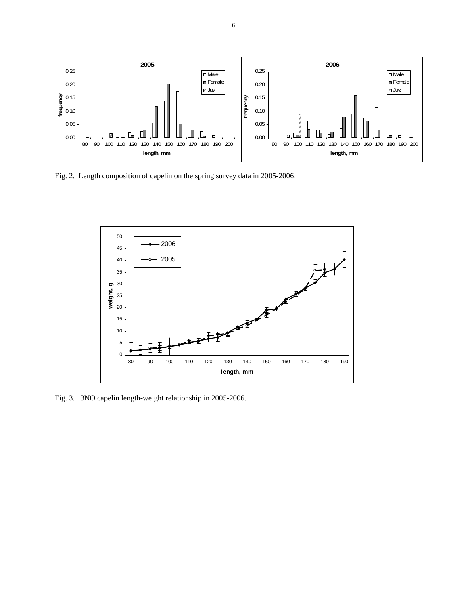

Fig. 2. Length composition of capelin on the spring survey data in 2005-2006.



Fig. 3. 3NO capelin length-weight relationship in 2005-2006.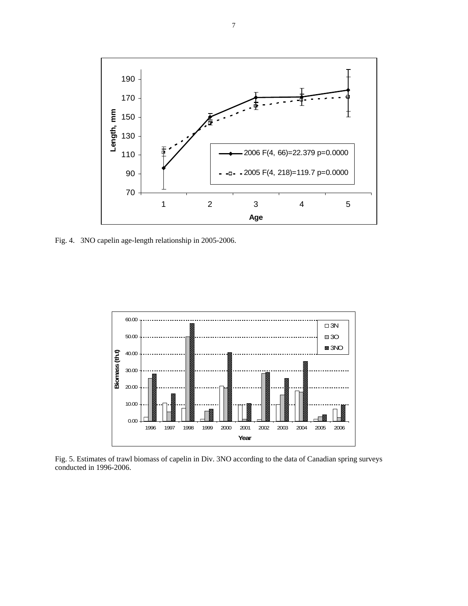

Fig. 4. 3NO capelin age-length relationship in 2005-2006.



Fig. 5. Estimates of trawl biomass of capelin in Div. 3NO according to the data of Canadian spring surveys conducted in 1996-2006.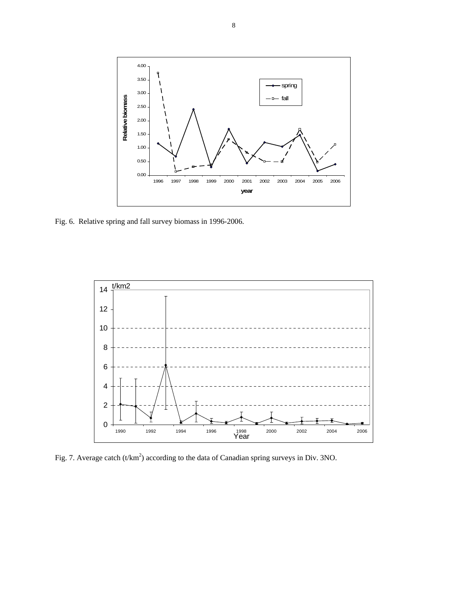

Fig. 6. Relative spring and fall survey biomass in 1996-2006.



Fig. 7. Average catch (t/km<sup>2</sup>) according to the data of Canadian spring surveys in Div. 3NO.